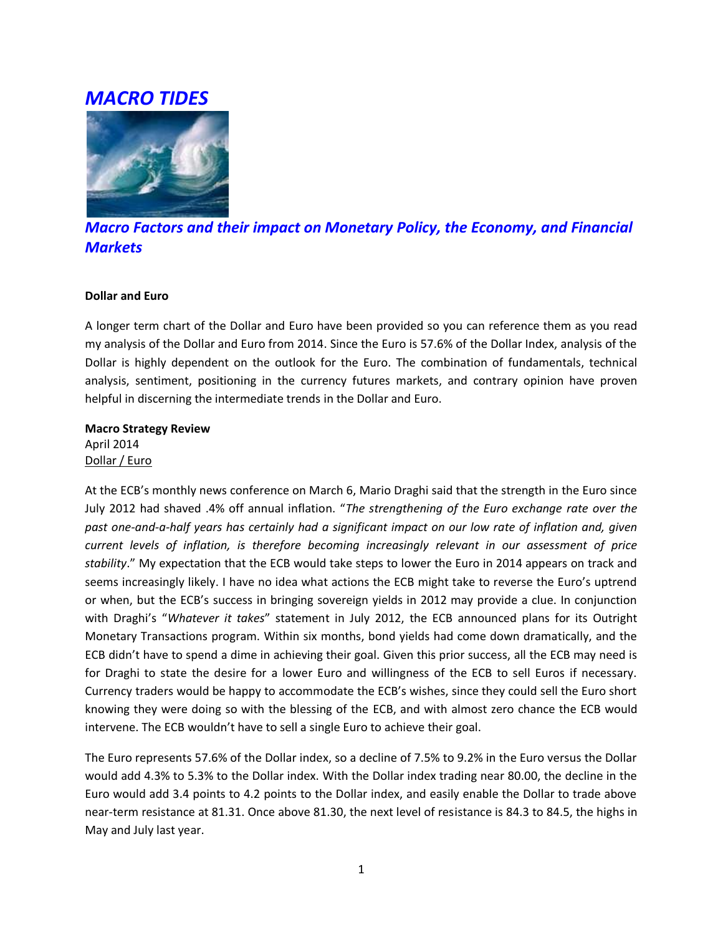# *MACRO TIDES*



## *Macro Factors and their impact on Monetary Policy, the Economy, and Financial Markets*

#### **Dollar and Euro**

A longer term chart of the Dollar and Euro have been provided so you can reference them as you read my analysis of the Dollar and Euro from 2014. Since the Euro is 57.6% of the Dollar Index, analysis of the Dollar is highly dependent on the outlook for the Euro. The combination of fundamentals, technical analysis, sentiment, positioning in the currency futures markets, and contrary opinion have proven helpful in discerning the intermediate trends in the Dollar and Euro.

## **Macro Strategy Review** April 2014 Dollar / Euro

At the ECB's monthly news conference on March 6, Mario Draghi said that the strength in the Euro since July 2012 had shaved .4% off annual inflation. "*The strengthening of the Euro exchange rate over the past one-and-a-half years has certainly had a significant impact on our low rate of inflation and, given current levels of inflation, is therefore becoming increasingly relevant in our assessment of price stability*." My expectation that the ECB would take steps to lower the Euro in 2014 appears on track and seems increasingly likely. I have no idea what actions the ECB might take to reverse the Euro's uptrend or when, but the ECB's success in bringing sovereign yields in 2012 may provide a clue. In conjunction with Draghi's "*Whatever it takes*" statement in July 2012, the ECB announced plans for its Outright Monetary Transactions program. Within six months, bond yields had come down dramatically, and the ECB didn't have to spend a dime in achieving their goal. Given this prior success, all the ECB may need is for Draghi to state the desire for a lower Euro and willingness of the ECB to sell Euros if necessary. Currency traders would be happy to accommodate the ECB's wishes, since they could sell the Euro short knowing they were doing so with the blessing of the ECB, and with almost zero chance the ECB would intervene. The ECB wouldn't have to sell a single Euro to achieve their goal.

The Euro represents 57.6% of the Dollar index, so a decline of 7.5% to 9.2% in the Euro versus the Dollar would add 4.3% to 5.3% to the Dollar index. With the Dollar index trading near 80.00, the decline in the Euro would add 3.4 points to 4.2 points to the Dollar index, and easily enable the Dollar to trade above near-term resistance at 81.31. Once above 81.30, the next level of resistance is 84.3 to 84.5, the highs in May and July last year.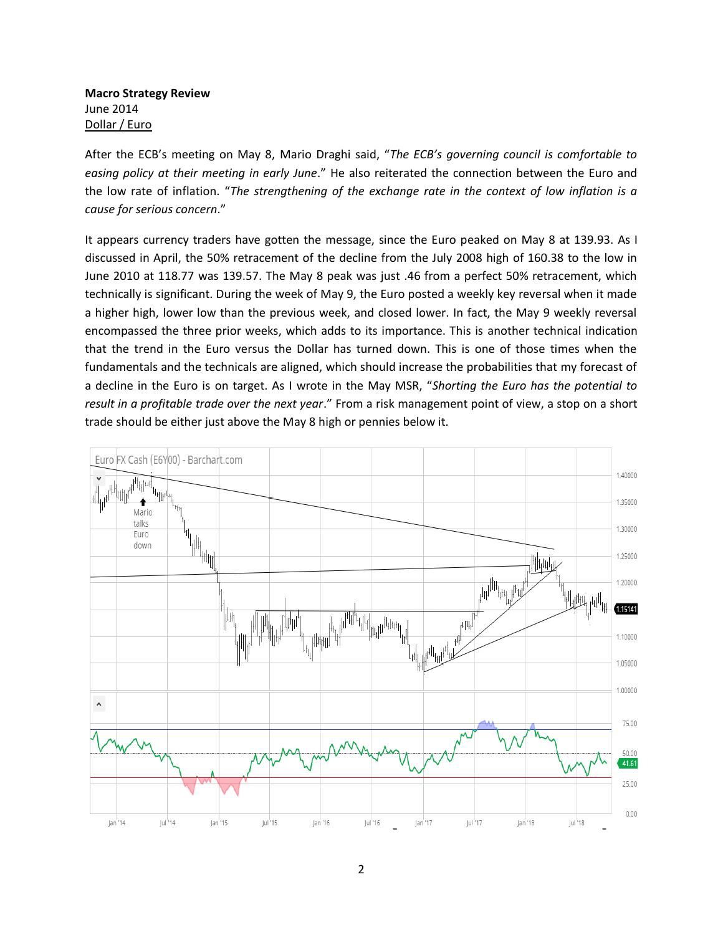**Macro Strategy Review** June 2014 Dollar / Euro

After the ECB's meeting on May 8, Mario Draghi said, "*The ECB's governing council is comfortable to easing policy at their meeting in early June*." He also reiterated the connection between the Euro and the low rate of inflation. "*The strengthening of the exchange rate in the context of low inflation is a cause for serious concern*."

It appears currency traders have gotten the message, since the Euro peaked on May 8 at 139.93. As I discussed in April, the 50% retracement of the decline from the July 2008 high of 160.38 to the low in June 2010 at 118.77 was 139.57. The May 8 peak was just .46 from a perfect 50% retracement, which technically is significant. During the week of May 9, the Euro posted a weekly key reversal when it made a higher high, lower low than the previous week, and closed lower. In fact, the May 9 weekly reversal encompassed the three prior weeks, which adds to its importance. This is another technical indication that the trend in the Euro versus the Dollar has turned down. This is one of those times when the fundamentals and the technicals are aligned, which should increase the probabilities that my forecast of a decline in the Euro is on target. As I wrote in the May MSR, "*Shorting the Euro has the potential to result in a profitable trade over the next year*." From a risk management point of view, a stop on a short trade should be either just above the May 8 high or pennies below it.

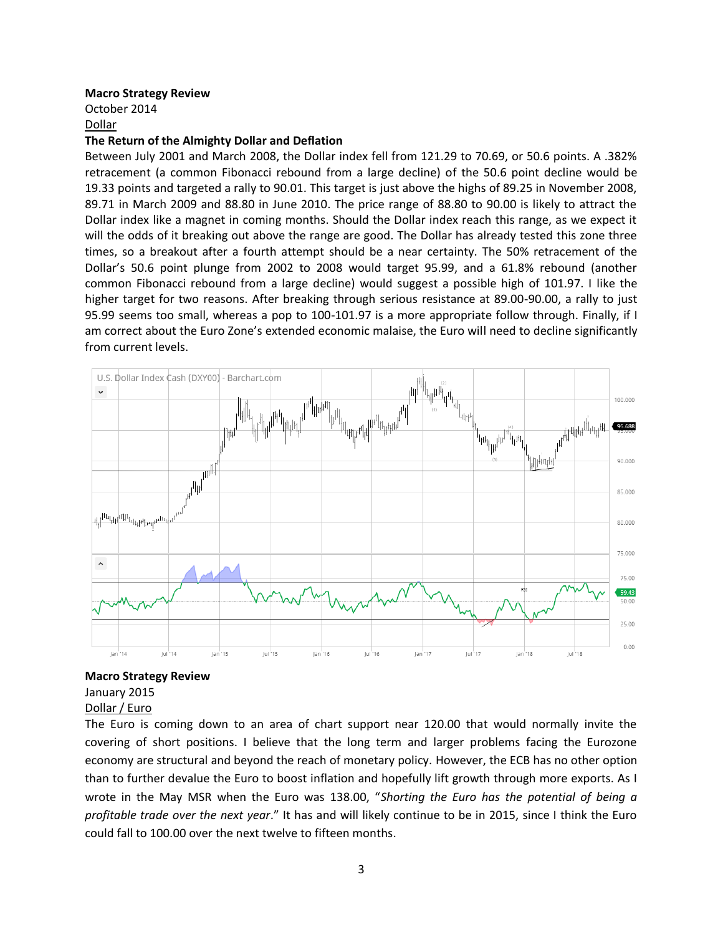#### **Macro Strategy Review**

October 2014 Dollar

#### **The Return of the Almighty Dollar and Deflation**

Between July 2001 and March 2008, the Dollar index fell from 121.29 to 70.69, or 50.6 points. A .382% retracement (a common Fibonacci rebound from a large decline) of the 50.6 point decline would be 19.33 points and targeted a rally to 90.01. This target is just above the highs of 89.25 in November 2008, 89.71 in March 2009 and 88.80 in June 2010. The price range of 88.80 to 90.00 is likely to attract the Dollar index like a magnet in coming months. Should the Dollar index reach this range, as we expect it will the odds of it breaking out above the range are good. The Dollar has already tested this zone three times, so a breakout after a fourth attempt should be a near certainty. The 50% retracement of the Dollar's 50.6 point plunge from 2002 to 2008 would target 95.99, and a 61.8% rebound (another common Fibonacci rebound from a large decline) would suggest a possible high of 101.97. I like the higher target for two reasons. After breaking through serious resistance at 89.00-90.00, a rally to just 95.99 seems too small, whereas a pop to 100-101.97 is a more appropriate follow through. Finally, if I am correct about the Euro Zone's extended economic malaise, the Euro will need to decline significantly from current levels.



#### **Macro Strategy Review**

January 2015 Dollar / Euro

The Euro is coming down to an area of chart support near 120.00 that would normally invite the covering of short positions. I believe that the long term and larger problems facing the Eurozone economy are structural and beyond the reach of monetary policy. However, the ECB has no other option than to further devalue the Euro to boost inflation and hopefully lift growth through more exports. As I wrote in the May MSR when the Euro was 138.00, "*Shorting the Euro has the potential of being a profitable trade over the next year*." It has and will likely continue to be in 2015, since I think the Euro could fall to 100.00 over the next twelve to fifteen months.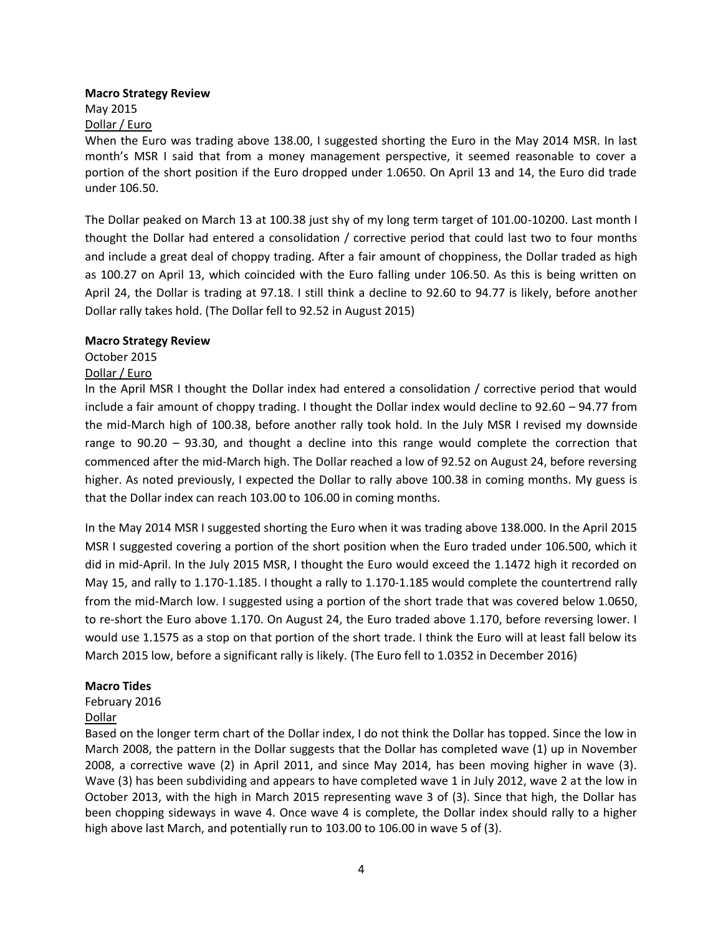#### **Macro Strategy Review**

May 2015 Dollar / Euro

When the Euro was trading above 138.00, I suggested shorting the Euro in the May 2014 MSR. In last month's MSR I said that from a money management perspective, it seemed reasonable to cover a portion of the short position if the Euro dropped under 1.0650. On April 13 and 14, the Euro did trade under 106.50.

The Dollar peaked on March 13 at 100.38 just shy of my long term target of 101.00-10200. Last month I thought the Dollar had entered a consolidation / corrective period that could last two to four months and include a great deal of choppy trading. After a fair amount of choppiness, the Dollar traded as high as 100.27 on April 13, which coincided with the Euro falling under 106.50. As this is being written on April 24, the Dollar is trading at 97.18. I still think a decline to 92.60 to 94.77 is likely, before another Dollar rally takes hold. (The Dollar fell to 92.52 in August 2015)

#### **Macro Strategy Review**

## October 2015

#### Dollar / Euro

In the April MSR I thought the Dollar index had entered a consolidation / corrective period that would include a fair amount of choppy trading. I thought the Dollar index would decline to 92.60 – 94.77 from the mid-March high of 100.38, before another rally took hold. In the July MSR I revised my downside range to 90.20 – 93.30, and thought a decline into this range would complete the correction that commenced after the mid-March high. The Dollar reached a low of 92.52 on August 24, before reversing higher. As noted previously, I expected the Dollar to rally above 100.38 in coming months. My guess is that the Dollar index can reach 103.00 to 106.00 in coming months.

In the May 2014 MSR I suggested shorting the Euro when it was trading above 138.000. In the April 2015 MSR I suggested covering a portion of the short position when the Euro traded under 106.500, which it did in mid-April. In the July 2015 MSR, I thought the Euro would exceed the 1.1472 high it recorded on May 15, and rally to 1.170-1.185. I thought a rally to 1.170-1.185 would complete the countertrend rally from the mid-March low. I suggested using a portion of the short trade that was covered below 1.0650, to re-short the Euro above 1.170. On August 24, the Euro traded above 1.170, before reversing lower. I would use 1.1575 as a stop on that portion of the short trade. I think the Euro will at least fall below its March 2015 low, before a significant rally is likely. (The Euro fell to 1.0352 in December 2016)

## **Macro Tides**

## February 2016

## Dollar

Based on the longer term chart of the Dollar index, I do not think the Dollar has topped. Since the low in March 2008, the pattern in the Dollar suggests that the Dollar has completed wave (1) up in November 2008, a corrective wave (2) in April 2011, and since May 2014, has been moving higher in wave (3). Wave (3) has been subdividing and appears to have completed wave 1 in July 2012, wave 2 at the low in October 2013, with the high in March 2015 representing wave 3 of (3). Since that high, the Dollar has been chopping sideways in wave 4. Once wave 4 is complete, the Dollar index should rally to a higher high above last March, and potentially run to 103.00 to 106.00 in wave 5 of (3).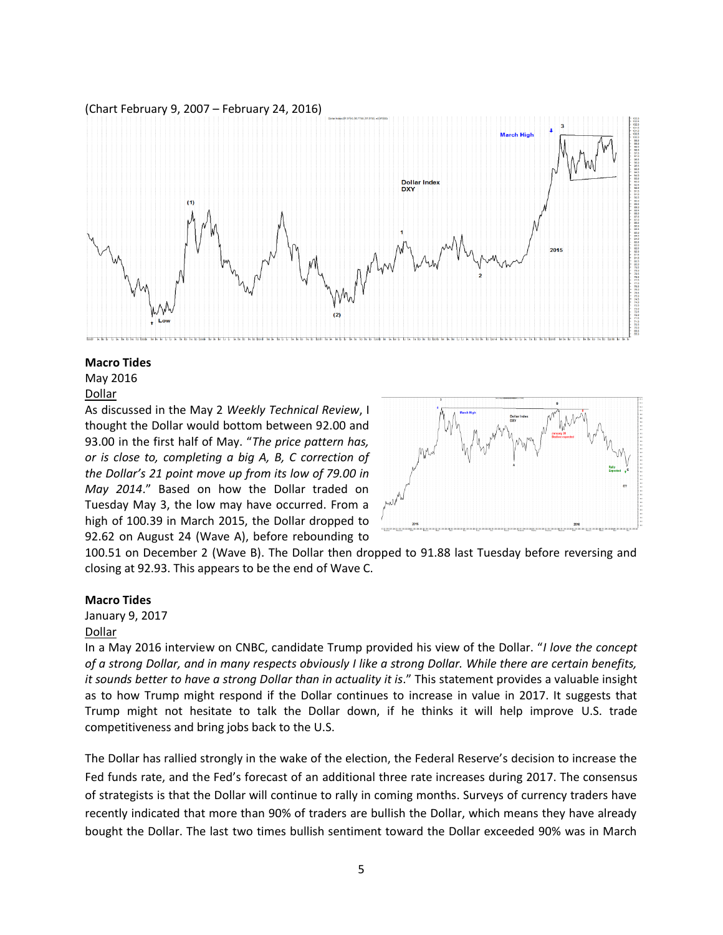(Chart February 9, 2007 – February 24, 2016)



#### **Macro Tides**

May 2016 Dollar

As discussed in the May 2 *Weekly Technical Review*, I thought the Dollar would bottom between 92.00 and 93.00 in the first half of May. "*The price pattern has, or is close to, completing a big A, B, C correction of the Dollar's 21 point move up from its low of 79.00 in May 2014*." Based on how the Dollar traded on Tuesday May 3, the low may have occurred. From a high of 100.39 in March 2015, the Dollar dropped to 92.62 on August 24 (Wave A), before rebounding to



100.51 on December 2 (Wave B). The Dollar then dropped to 91.88 last Tuesday before reversing and closing at 92.93. This appears to be the end of Wave C.

#### **Macro Tides**

January 9, 2017 Dollar

In a May 2016 interview on CNBC, candidate Trump provided his view of the Dollar. "*I love the concept of a strong Dollar, and in many respects obviously I like a strong Dollar. While there are certain benefits, it sounds better to have a strong Dollar than in actuality it is*." This statement provides a valuable insight as to how Trump might respond if the Dollar continues to increase in value in 2017. It suggests that Trump might not hesitate to talk the Dollar down, if he thinks it will help improve U.S. trade competitiveness and bring jobs back to the U.S.

The Dollar has rallied strongly in the wake of the election, the Federal Reserve's decision to increase the Fed funds rate, and the Fed's forecast of an additional three rate increases during 2017. The consensus of strategists is that the Dollar will continue to rally in coming months. Surveys of currency traders have recently indicated that more than 90% of traders are bullish the Dollar, which means they have already bought the Dollar. The last two times bullish sentiment toward the Dollar exceeded 90% was in March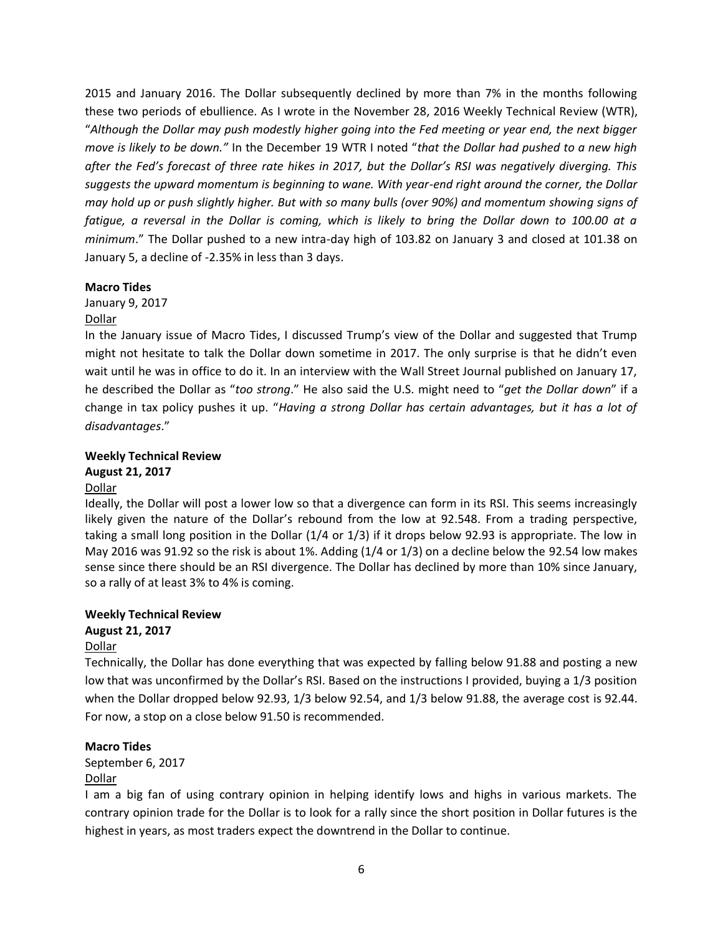2015 and January 2016. The Dollar subsequently declined by more than 7% in the months following these two periods of ebullience. As I wrote in the November 28, 2016 Weekly Technical Review (WTR), "*Although the Dollar may push modestly higher going into the Fed meeting or year end, the next bigger move is likely to be down."* In the December 19 WTR I noted "*that the Dollar had pushed to a new high after the Fed's forecast of three rate hikes in 2017, but the Dollar's RSI was negatively diverging. This suggests the upward momentum is beginning to wane. With year-end right around the corner, the Dollar may hold up or push slightly higher. But with so many bulls (over 90%) and momentum showing signs of fatigue, a reversal in the Dollar is coming, which is likely to bring the Dollar down to 100.00 at a minimum*." The Dollar pushed to a new intra-day high of 103.82 on January 3 and closed at 101.38 on January 5, a decline of -2.35% in less than 3 days.

#### **Macro Tides**

January 9, 2017

## Dollar

In the January issue of Macro Tides, I discussed Trump's view of the Dollar and suggested that Trump might not hesitate to talk the Dollar down sometime in 2017. The only surprise is that he didn't even wait until he was in office to do it. In an interview with the Wall Street Journal published on January 17, he described the Dollar as "*too strong*." He also said the U.S. might need to "*get the Dollar down*" if a change in tax policy pushes it up. "*Having a strong Dollar has certain advantages, but it has a lot of disadvantages*."

#### **Weekly Technical Review August 21, 2017**

## Dollar

Ideally, the Dollar will post a lower low so that a divergence can form in its RSI. This seems increasingly likely given the nature of the Dollar's rebound from the low at 92.548. From a trading perspective, taking a small long position in the Dollar (1/4 or 1/3) if it drops below 92.93 is appropriate. The low in May 2016 was 91.92 so the risk is about 1%. Adding (1/4 or 1/3) on a decline below the 92.54 low makes sense since there should be an RSI divergence. The Dollar has declined by more than 10% since January, so a rally of at least 3% to 4% is coming.

## **Weekly Technical Review August 21, 2017**

## Dollar

Technically, the Dollar has done everything that was expected by falling below 91.88 and posting a new low that was unconfirmed by the Dollar's RSI. Based on the instructions I provided, buying a 1/3 position when the Dollar dropped below 92.93, 1/3 below 92.54, and 1/3 below 91.88, the average cost is 92.44. For now, a stop on a close below 91.50 is recommended.

## **Macro Tides**

September 6, 2017

## Dollar

I am a big fan of using contrary opinion in helping identify lows and highs in various markets. The contrary opinion trade for the Dollar is to look for a rally since the short position in Dollar futures is the highest in years, as most traders expect the downtrend in the Dollar to continue.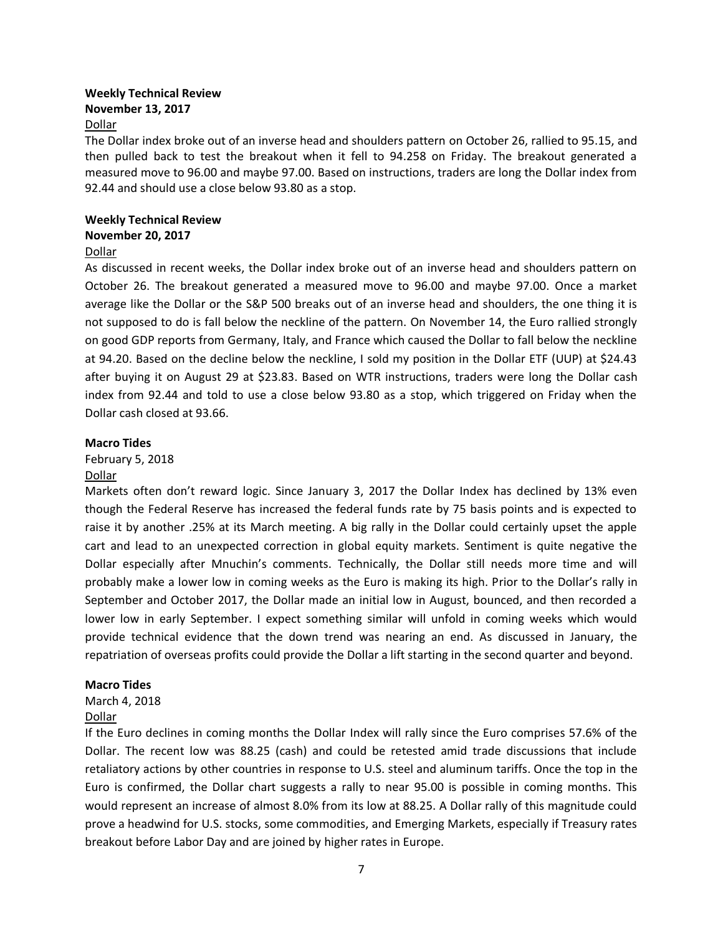## **Weekly Technical Review November 13, 2017**

#### Dollar

The Dollar index broke out of an inverse head and shoulders pattern on October 26, rallied to 95.15, and then pulled back to test the breakout when it fell to 94.258 on Friday. The breakout generated a measured move to 96.00 and maybe 97.00. Based on instructions, traders are long the Dollar index from 92.44 and should use a close below 93.80 as a stop.

#### **Weekly Technical Review November 20, 2017**

## Dollar

As discussed in recent weeks, the Dollar index broke out of an inverse head and shoulders pattern on October 26. The breakout generated a measured move to 96.00 and maybe 97.00. Once a market average like the Dollar or the S&P 500 breaks out of an inverse head and shoulders, the one thing it is not supposed to do is fall below the neckline of the pattern. On November 14, the Euro rallied strongly on good GDP reports from Germany, Italy, and France which caused the Dollar to fall below the neckline at 94.20. Based on the decline below the neckline, I sold my position in the Dollar ETF (UUP) at \$24.43 after buying it on August 29 at \$23.83. Based on WTR instructions, traders were long the Dollar cash index from 92.44 and told to use a close below 93.80 as a stop, which triggered on Friday when the Dollar cash closed at 93.66.

#### **Macro Tides**

## February 5, 2018

#### Dollar

Markets often don't reward logic. Since January 3, 2017 the Dollar Index has declined by 13% even though the Federal Reserve has increased the federal funds rate by 75 basis points and is expected to raise it by another .25% at its March meeting. A big rally in the Dollar could certainly upset the apple cart and lead to an unexpected correction in global equity markets. Sentiment is quite negative the Dollar especially after Mnuchin's comments. Technically, the Dollar still needs more time and will probably make a lower low in coming weeks as the Euro is making its high. Prior to the Dollar's rally in September and October 2017, the Dollar made an initial low in August, bounced, and then recorded a lower low in early September. I expect something similar will unfold in coming weeks which would provide technical evidence that the down trend was nearing an end. As discussed in January, the repatriation of overseas profits could provide the Dollar a lift starting in the second quarter and beyond.

#### **Macro Tides**

## March 4, 2018

#### Dollar

If the Euro declines in coming months the Dollar Index will rally since the Euro comprises 57.6% of the Dollar. The recent low was 88.25 (cash) and could be retested amid trade discussions that include retaliatory actions by other countries in response to U.S. steel and aluminum tariffs. Once the top in the Euro is confirmed, the Dollar chart suggests a rally to near 95.00 is possible in coming months. This would represent an increase of almost 8.0% from its low at 88.25. A Dollar rally of this magnitude could prove a headwind for U.S. stocks, some commodities, and Emerging Markets, especially if Treasury rates breakout before Labor Day and are joined by higher rates in Europe.